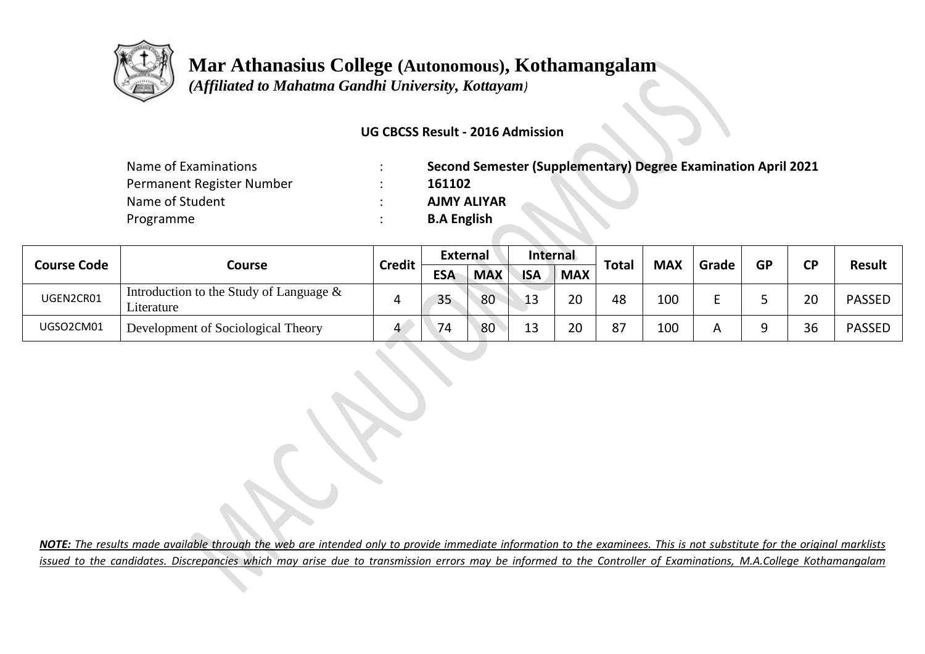

 **Mar Athanasius College (Autonomous), Kothamangalam**

 *(Affiliated to Mahatma Gandhi University, Kottayam)*

### **UG CBCSS Result - 2016 Admission**

| Name of Examinations      | <b>Second Semester (Supplementary) Degree Examination April 2021</b> |
|---------------------------|----------------------------------------------------------------------|
| Permanent Register Number | 161102                                                               |
| Name of Student           | <b>AJMY ALIYAR</b>                                                   |
| Programme                 | <b>B.A English</b>                                                   |

| <b>Course Code</b> | Course                                                   | Credit | <b>External</b> |            | Internal   |            | <b>Total</b> | <b>MAX</b> | Grade | <b>GP</b> | rв             |               |
|--------------------|----------------------------------------------------------|--------|-----------------|------------|------------|------------|--------------|------------|-------|-----------|----------------|---------------|
|                    |                                                          |        | <b>ESA</b>      | <b>MAX</b> | <b>ISA</b> | <b>MAX</b> |              |            |       |           |                | <b>Result</b> |
| UGEN2CR01          | Introduction to the Study of Language $\&$<br>Literature |        | 35              | 80         | .12<br>∸∸  | 20         | 48           | 100        |       |           | 20             | <b>PASSED</b> |
| UGSO2CM01          | Development of Sociological Theory                       | 4      | 74              | 80         | 12<br>∸    | 20         | 87           | 100        |       |           | $\Omega$<br>30 | <b>PASSED</b> |

*NOTE: The results made available through the web are intended only to provide immediate information to the examinees. This is not substitute for the original marklists issued to the candidates. Discrepancies which may arise due to transmission errors may be informed to the Controller of Examinations, M.A.College Kothamangalam*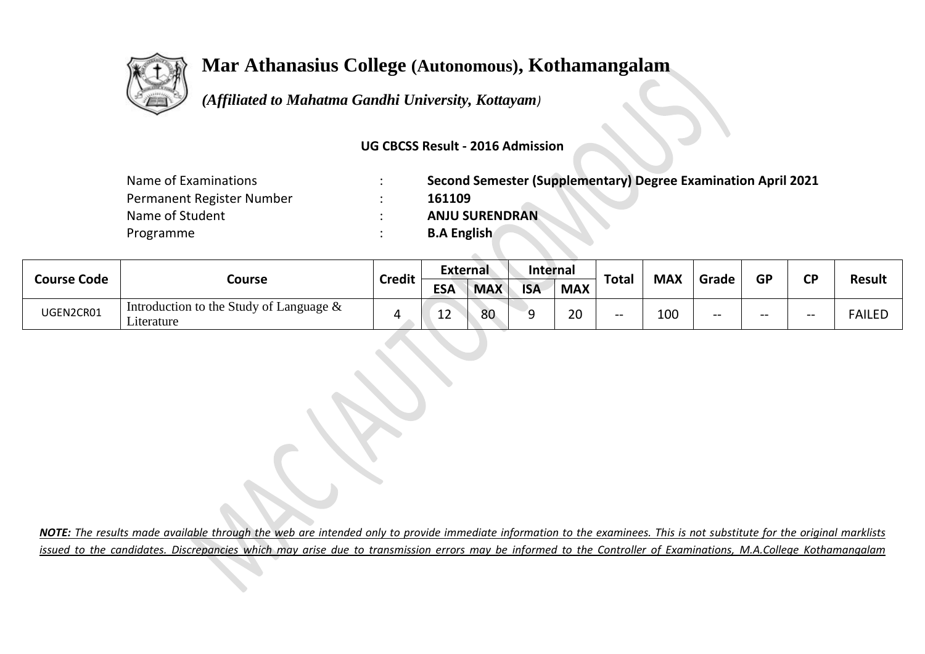

# **Mar Athanasius College (Autonomous), Kothamangalam**

 *(Affiliated to Mahatma Gandhi University, Kottayam)*

### **UG CBCSS Result - 2016 Admission**

| Name of Examinations      | Second Semester (Supplementary) Degree Examination April 2021 |
|---------------------------|---------------------------------------------------------------|
| Permanent Register Number | 161109                                                        |
| Name of Student           | <b>ANJU SURENDRAN</b>                                         |
| Programme                 | <b>B.A English</b>                                            |

| <b>Course Code</b> | Course                                                   | <b>Credit</b> | <b>External</b> |            | <b>Internal</b> |            |              |                        |       |           | σn    |               |
|--------------------|----------------------------------------------------------|---------------|-----------------|------------|-----------------|------------|--------------|------------------------|-------|-----------|-------|---------------|
|                    |                                                          |               | <b>ESA</b>      | <b>MAX</b> | <b>ISA</b>      | <b>MAX</b> | <b>Total</b> | <b>MAX</b>             | Grade | <b>GP</b> |       | <b>Result</b> |
| UGEN2CR01          | Introduction to the Study of Language $\&$<br>Literature |               | ∽<br>--         | 80         |                 | 20         | $- -$        | 10 <sup>c</sup><br>TNN | --    | --        | $- -$ | FAILED        |

*NOTE: The results made available through the web are intended only to provide immediate information to the examinees. This is not substitute for the original marklists issued to the candidates. Discrepancies which may arise due to transmission errors may be informed to the Controller of Examinations, M.A.College Kothamangalam*